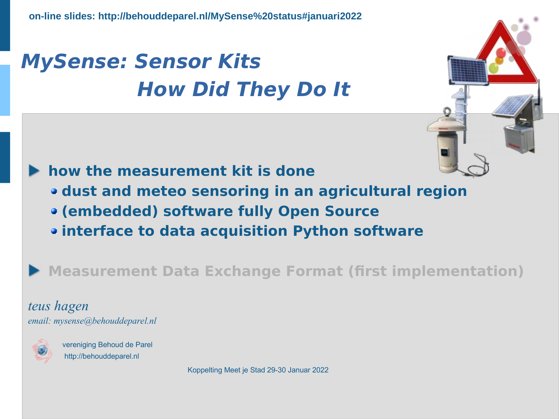# **MySense: Sensor Kits How Did They Do It**



**how the measurement kit is done dust and meteo sensoring in an agricultural region (embedded) software fully Open Source interface to data acquisition Python software**

**Measurement Data Exchange Format (first implementation)**

 *teus hagen email: mysense@behouddeparel.nl*



 vereniging Behoud de Parel http://behouddeparel.nl

Koppelting Meet je Stad 29-30 Januar 2022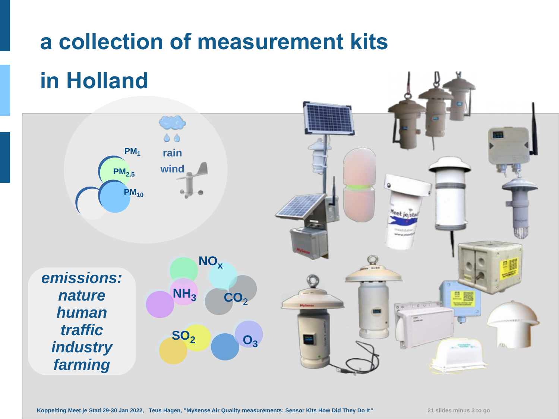# **a collection of measurement kits**

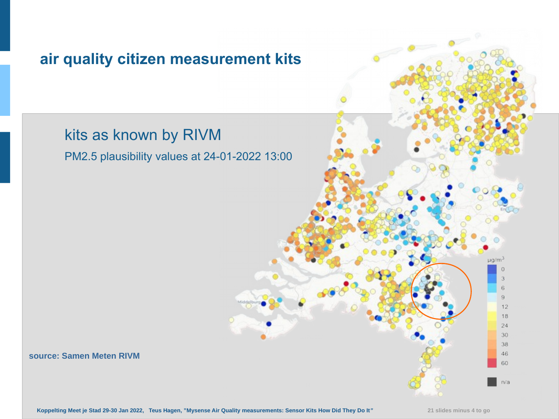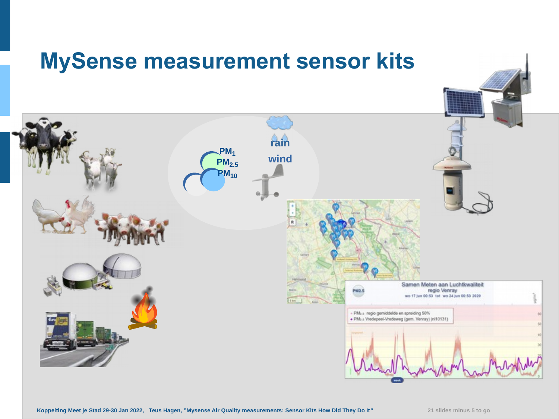### **MySense measurement sensor kits**

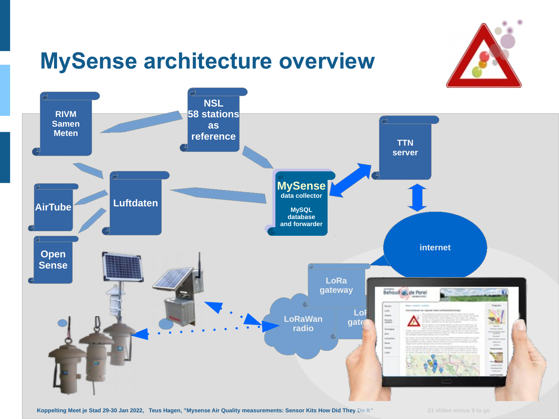# **MySense architecture overview**





**Koppelting Meet je Stad 29-30 Jan 2022, Teus Hagen, "Mysense Air Quality measurements: Sensor Kits How Did They Do It***"* **21 slides minus 9 to go**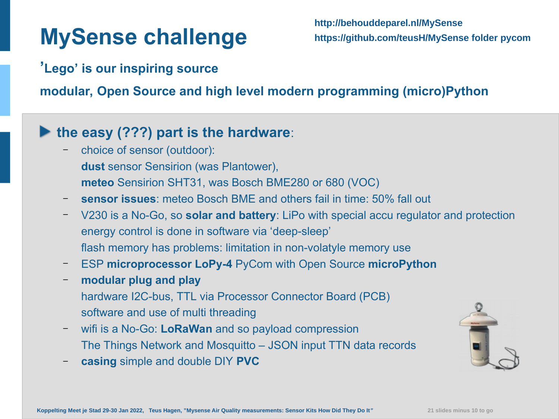# **MySense challenge**

#### **'Lego' is our inspiring source**

**modular, Open Source and high level modern programming (micro)Python**

#### **the easy (???) part is the hardware**:

- choice of sensor (outdoor): **dust** sensor Sensirion (was Plantower), **meteo** Sensirion SHT31, was Bosch BME280 or 680 (VOC)
- **sensor issues**: meteo Bosch BME and others fail in time: 50% fall out
- V230 is a No-Go, so **solar and battery**: LiPo with special accu regulator and protection energy control is done in software via 'deep-sleep' flash memory has problems: limitation in non-volatyle memory use
- ESP **microprocessor LoPy-4** PyCom with Open Source **microPython**
- **modular plug and play** hardware I2C-bus, TTL via Processor Connector Board (PCB) software and use of multi threading
- wifi is a No-Go: **LoRaWan** and so payload compression The Things Network and Mosquitto – JSON input TTN data records
- **casing** simple and double DIY **PVC**

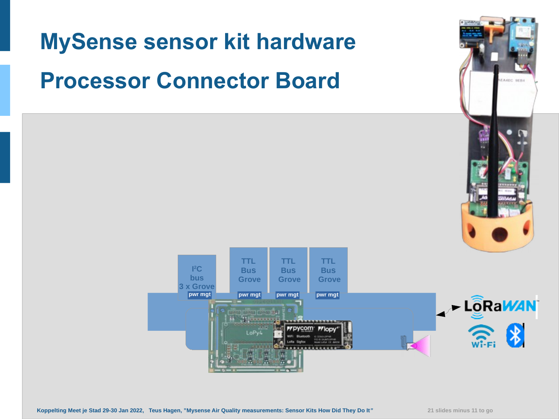# **MySense sensor kit hardware**

# **Processor Connector Board**

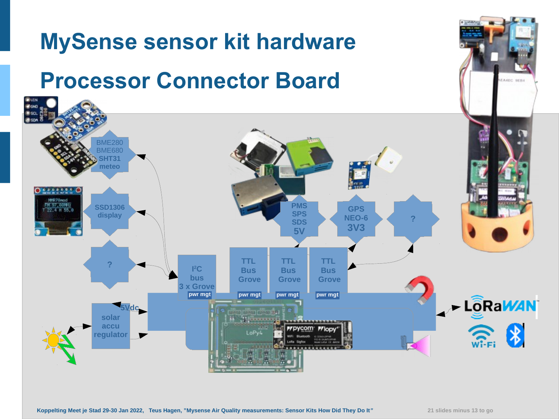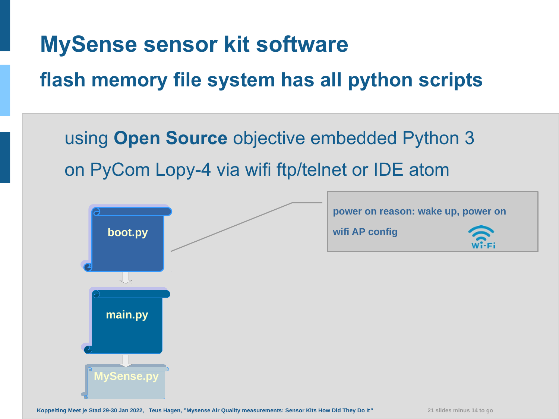# **MySense sensor kit software**

### **flash memory file system has all python scripts**

using **Open Source** objective embedded Python 3 on PyCom Lopy-4 via wifi ftp/telnet or IDE atom

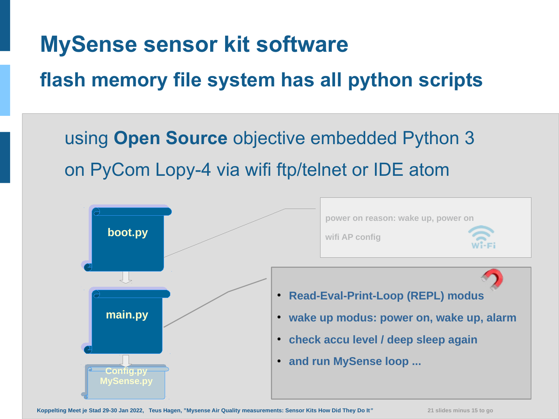# **MySense sensor kit soft[ware](https://github.com/teusH/MySense)**

### **flash memory file system has all python scripts**

using **Open Source** objective embedded Python 3 on PyCom Lopy-4 via wifi ftp/telnet or IDE atom

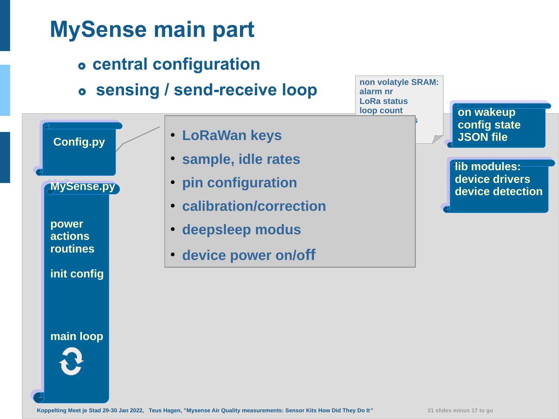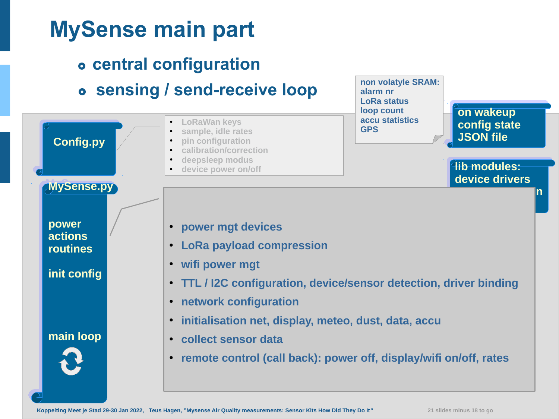

**Koppelting Meet je Stad 29-30 Jan 2022, Teus Hagen, "Mysense Air Quality measurements: Sensor Kits How Did They Do It***"* **21 slides minus 18 to go**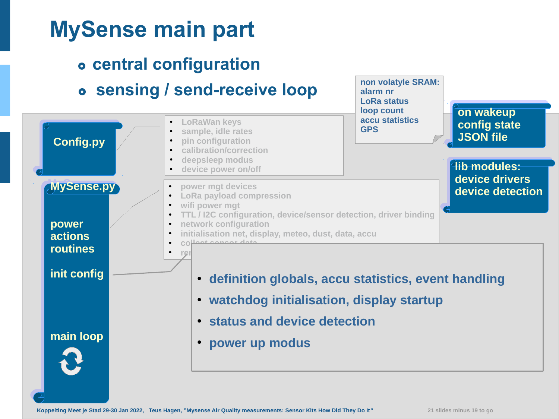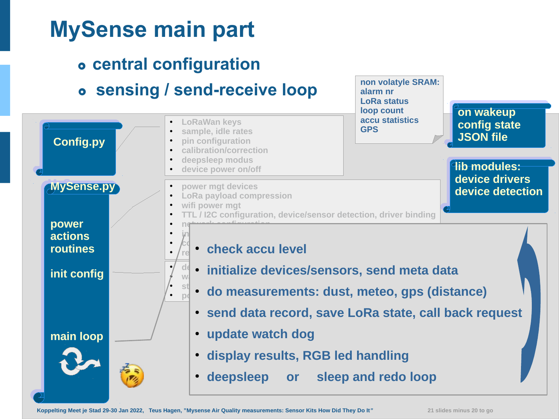#### **MySense main part central configuration sensing / send-receive loop** ● **LoRaWan keys** ● **sample, idle rates** ● **pin configuration** ● **calibration/correction** ● **deepsleep modus** device power on/off ● **power mgt devices LoRa payload compression** wifi power mgt **TTL / I2C configuration, device/sensor detection, driver binding** ● **network configuration** ● **initialisation net, display, meteo, dust, data, accu**  $\cdot$   $\left| c \right|$  seeks and  $\mathbf{r} \setminus \mathbb{S}^{\mathbb{N}}$  • check accu level  $\frac{1}{2}$  definition action definition of the line of the line of the line of the line of the line of the line of the line of the line of the line of the line of the line of the line of the line of the line of the line of  $\frac{1}{N}$   $\frac{\text{d}\ell}{\text{d}N}$  • initialize devices/sensors, send meta data  $\cdot$  st<sub>a</sub> de meessureme .  $\frac{1}{p_0}$  • do measurements: dust, meteo, gps (distance) ● **send data record, save LoRa state, call back request** ● **update watch dog** ● **display results, RGB led handling** • deepsleep or sleep and redo loop **Config.py Config.py non volatyle SRAM: alarm nr LoRa status loop count accu statistics GPS on wakeup on wakeup config state config state JSON file JSON file lib modules: lib modules: device drivers device drivers device detection device detection MySense.py MySense.py power power actions actions routines routines init config init config main loop main loop**

**Koppelting Meet je Stad 29-30 Jan 2022, Teus Hagen, "Mysense Air Quality measurements: Sensor Kits How Did They Do It***"* **21 slides minus 20 to go**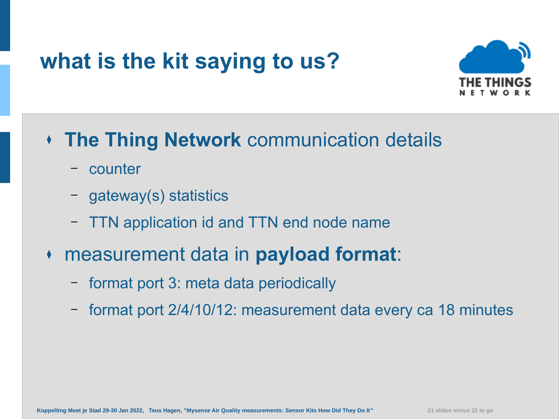# **what is the kit saying to us?**



#### <sup>⧫</sup> **The Thing Network** communication details

- counter
- gateway(s) statistics
- TTN application id and TTN end node name
- <sup>⧫</sup> measurement data in **payload format**:
	- format port 3: meta data periodically
	- format port 2/4/10/12: measurement data every ca 18 minutes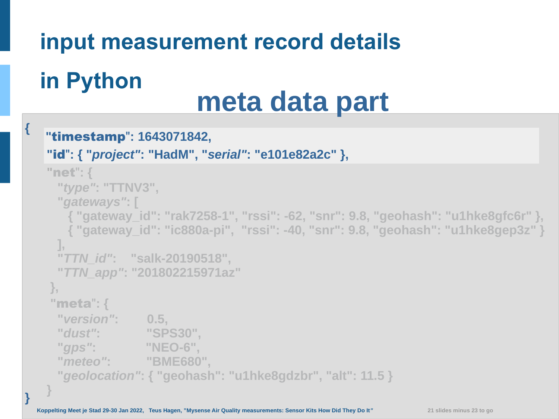# **input measurement record details**

# **in Python**

**{**

**}**

 **}**

# **meta data part**

#### **"**timestamp"**: 1643071842,**

```
 "id": { "project": "HadM", "serial": "e101e82a2c" },
```

```
 "net": {
  "type": "TTNV3",
  "gateways": [
    { "gateway_id": "rak7258-1", "rssi": -62, "snr": 9.8, "geohash": "u1hke8gfc6r" },
    { "gateway_id": "ic880a-pi", "rssi": -40, "snr": 9.8, "geohash": "u1hke8gep3z" }
  ],
  "TTN_id": "salk-20190518",
  "TTN_app": "201802215971az"
 },
 "meta": {
  "version": 0.5,
  "dust": "SPS30",
  "gps": "NEO-6",
  "meteo": "BME680",
  "geolocation": { "geohash": "u1hke8gdzbr", "alt": 11.5 }
```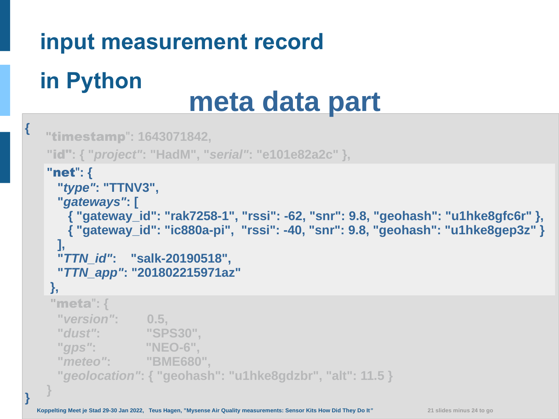# **in Python**

**{**

**}**

# **meta data part**

```
"timestamp": 1643071842,
  "id": { "project": "HadM", "serial": "e101e82a2c" },
 "net": {
   "type": "TTNV3",
   "gateways": [
     { "gateway_id": "rak7258-1", "rssi": -62, "snr": 9.8, "geohash": "u1hke8gfc6r" },
     { "gateway_id": "ic880a-pi", "rssi": -40, "snr": 9.8, "geohash": "u1hke8gep3z" }
   ],
   "TTN_id": "salk-20190518",
   "TTN_app": "201802215971az"
  },
  "meta": {
   "version": 0.5,
   "dust": "SPS30",
   "gps": "NEO-6",
   "meteo": "BME680",
   "geolocation": { "geohash": "u1hke8gdzbr", "alt": 11.5 }
 }
```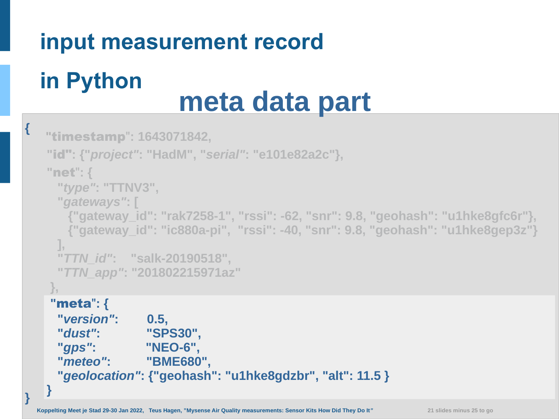# **in Python**

**{**

**}**

# **meta data part**

```
"timestamp": 1643071842,
  "id": {"project": "HadM", "serial": "e101e82a2c"},
 "net": {
   "type": "TTNV3",
   "gateways": [
     {"gateway_id": "rak7258-1", "rssi": -62, "snr": 9.8, "geohash": "u1hke8gfc6r"},
     {"gateway_id": "ic880a-pi", "rssi": -40, "snr": 9.8, "geohash": "u1hke8gep3z"}
   ],
   "TTN_id": "salk-20190518",
   "TTN_app": "201802215971az"
 },
  "meta": {
   "version": 0.5,
   "dust": "SPS30",
   "gps": "NEO-6",
   "meteo": "BME680",
   "geolocation": {"geohash": "u1hke8gdzbr", "alt": 11.5 }
 }
```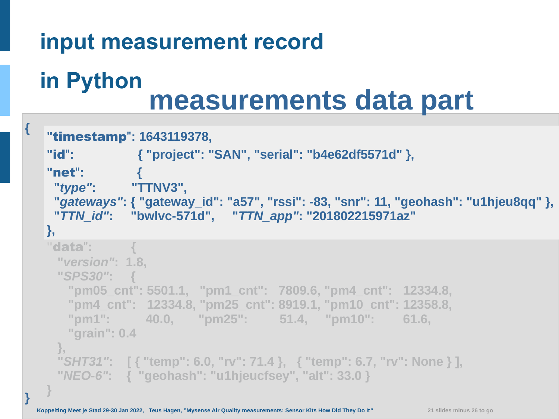**{**

**}**

# **in Python measurements data part**

```
 "timestamp": 1643119378,
 "id": { "project": "SAN", "serial": "b4e62df5571d" },
 "net": {
  "type": "TTNV3",
  "gateways": { "gateway_id": "a57", "rssi": -83, "snr": 11, "geohash": "u1hjeu8qq" },
  "TTN_id": "bwlvc-571d", "TTN_app": "201802215971az"
 },
 "data": {
   "version": 1.8,
   "SPS30": {
     "pm05_cnt": 5501.1, "pm1_cnt": 7809.6, "pm4_cnt": 12334.8,
     "pm4_cnt": 12334.8, "pm25_cnt": 8919.1, "pm10_cnt": 12358.8,
     "pm1": 40.0, "pm25": 51.4, "pm10": 61.6,
     "grain": 0.4
 },
   "SHT31": [ { "temp": 6.0, "rv": 71.4 }, { "temp": 6.7, "rv": None } ],
   "NEO-6": { "geohash": "u1hjeucfsey", "alt": 33.0 }
 }
```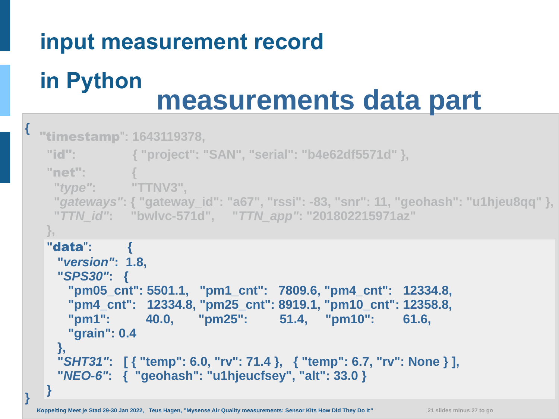# **in Python measurements data part**

```
{
}
  "timestamp": 1643119378,
    "id": { "project": "SAN", "serial": "b4e62df5571d" },
    "net": {
    "type": "TTNV3",
     "gateways": { "gateway_id": "a67", "rssi": -83, "snr": 11, "geohash": "u1hjeu8qq" },
     "TTN_id": "bwlvc-571d", "TTN_app": "201802215971az"
   },
    "data": {
     "version": 1.8,
     "SPS30": {
       "pm05_cnt": 5501.1, "pm1_cnt": 7809.6, "pm4_cnt": 12334.8,
       "pm4_cnt": 12334.8, "pm25_cnt": 8919.1, "pm10_cnt": 12358.8,
       "pm1": 40.0, "pm25": 51.4, "pm10": 61.6,
       "grain": 0.4
     },
     "SHT31": [ { "temp": 6.0, "rv": 71.4 }, { "temp": 6.7, "rv": None } ],
     "NEO-6": { "geohash": "u1hjeucfsey", "alt": 33.0 }
   }
```